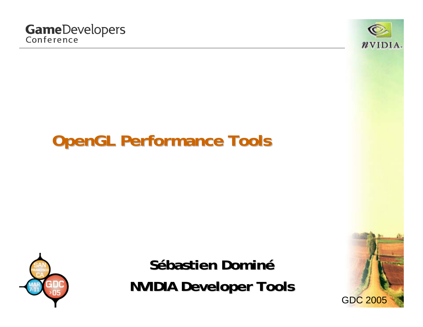

# **OpenGL Performance Tools**



**Sébastien bastien Domin éNVIDIA Developer Tools** 

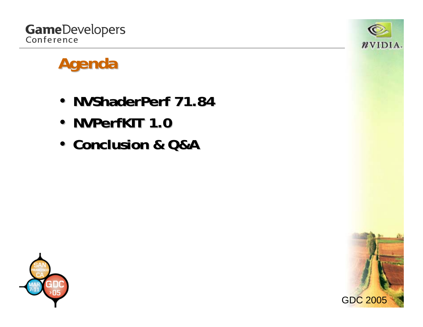



# **Agenda**

- **NVShaderPerf NVShaderPerf 71.84**
- **NVPerfKIT NVPerfKIT 1.0**
- **Conclusion & Q&A Conclusion & Q&A**



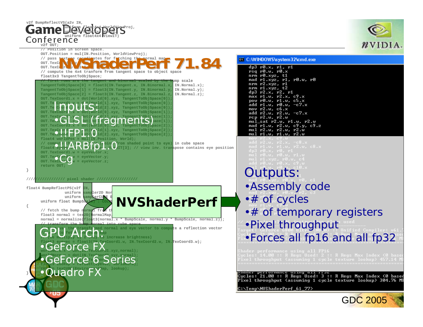

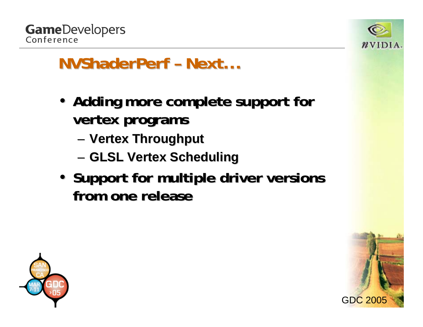



# **NVShaderPerf - Next...**

- Adding more complete support for **vertex programs vertex programs**
	- –**Vertex Throughput Vertex Throughput**
	- –**GLSL Vertex Scheduling GLSL Vertex Scheduling**
- Support for multiple driver versions **from one release from one release**



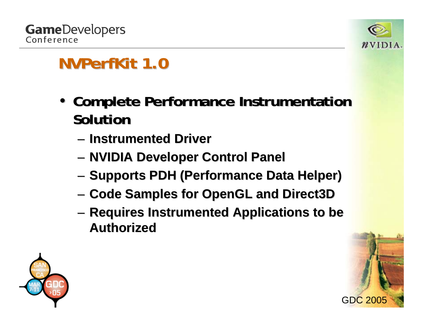



- **Complete Performance Instrumentation Solution Solution**
	- **Instrumented Driver Instrumented Driver**
	- – $-$  **NVIDIA Developer Control Panel**
	- –**– Supports PDH (Performance Data Helper)**
	- –**Code Samples for OpenGL and Direct3D Code Samples for OpenGL and Direct3D**
	- –**Requires Instrumented Applications to be Authorized Authorized**

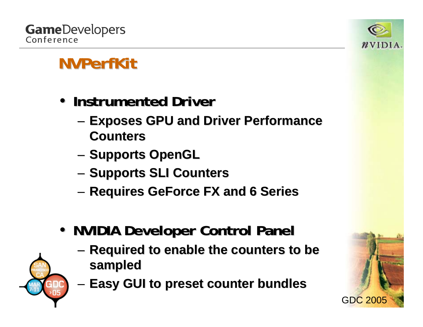

- **Instrumented Driver Instrumented Driver**
	- **Links of the Company – Exposes GPU and Driver Performance Counters Counters**
	- –**- Supports OpenGL**
	- – $-$  Supports SLI Counters
	- –**Requires GeForce FX and 6 Series Requires GeForce FX and 6 Series**
- **NVIDIA Developer Control Panel** 
	- and the state of the **Required to enable the counters to be sampled sampled**
	- **Links of the Company Easy GUI to preset counter bundles Easy GUI to preset counter bundles**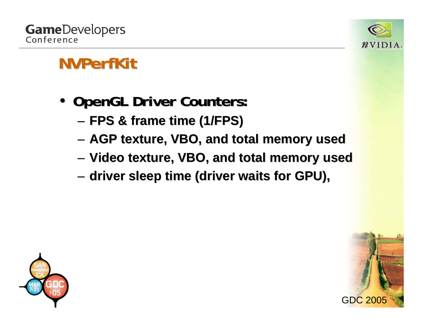

- OpenGL Driver Counters:
	- **Links of the Company FPS & frame time (1/FPS) FPS & frame time (1/FPS)**
	- **Links of the Company AGP texture, VBO, and total memory used AGP texture, VBO, and total memory used**
	- **Links of the Company Video texture, VBO, and total memory used Video texture, VBO, and total memory used**
	- **Links of the Company – driver sleep time (driver waits for GPU),**



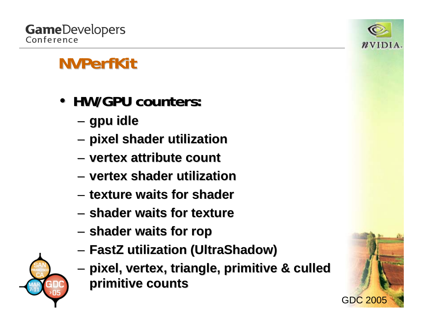

#### **GameDevelopers** Conference

- **HW/GPU counters: HW/GPU counters:**
	- **Links of the Company gpu idle**
	- **Links of the Company pixel shader utilization utilization**
	- **vertex attribute count vertex attribute count**
	- **vertex shader utilization utilization**
	- **texture waits for texture waits for shader**
	- **shader waits for texture waits for texture**
	- **Links of the Company shader waits for waits for rop**
	- **FastZ utilization ( utilization (UltraShadow UltraShadow)**
	- **Links of the Company pixel, vertex, triangle, primitive & culled pixel, vertex, triangle, primitive & culled primitive counts primitive counts**

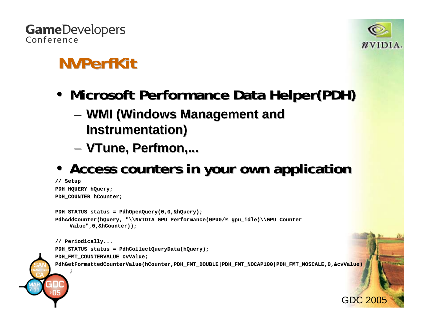

- •**• Microsoft Performance Data Helper(PDH)** 
	- **Links of the Company**  $-$  WMI (Windows Management and **Instrumentation) Instrumentation)**
	- –**VTune, Perfmon Perfmon,...**
- Access counters in your own application

```
// Setup
PDH_HQUERY hQuery;
PDH_COUNTER hCounter;
PDH_STATUS status = PdhOpenQuery(0,0,&hQuery);
PdhAddCounter(hQuery, "\\NVIDIA GPU Performance(GPU0/% gpu_idle)\\GPU Counter 
    Value",0,&hCounter));
// Periodically...
PDH_STATUS status = PdhCollectQueryData(hQuery);
PDH_FMT_COUNTERVALUE cvValue;
PdhGetFormattedCounterValue(hCounter,PDH_FMT_DOUBLE|PDH_FMT_NOCAP100|PDH_FMT_NOSCALE,0,&cvValue)
    ;
```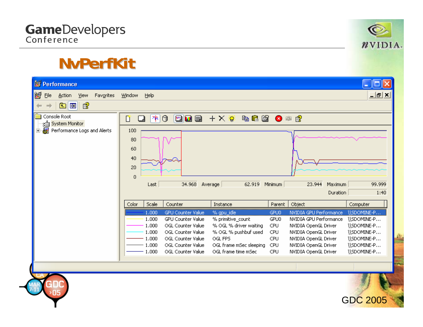

#### **NvPerfKit NvPerfKit**

| Window<br>Help                                        |                          |                                                                         |                                                                                                                     |                                       |                                                                                                                                                                                                                                                              |
|-------------------------------------------------------|--------------------------|-------------------------------------------------------------------------|---------------------------------------------------------------------------------------------------------------------|---------------------------------------|--------------------------------------------------------------------------------------------------------------------------------------------------------------------------------------------------------------------------------------------------------------|
| 图<br>面<br>画                                           |                          |                                                                         |                                                                                                                     |                                       |                                                                                                                                                                                                                                                              |
| 야<br>Ũ<br>۳                                           | BDB                      |                                                                         |                                                                                                                     |                                       |                                                                                                                                                                                                                                                              |
| 100<br>80<br>60<br>40<br>20<br>$\overline{0}$<br>Last | 34.968                   | 62.919                                                                  |                                                                                                                     | 23.944                                | 99,999<br>1:40                                                                                                                                                                                                                                               |
| Scale<br>Color                                        | Counter                  | Instance                                                                | Parent                                                                                                              |                                       | Computer                                                                                                                                                                                                                                                     |
| 1.000                                                 | <b>GPU Counter Value</b> |                                                                         | GPU0                                                                                                                |                                       | \\SDOMINE-P…                                                                                                                                                                                                                                                 |
|                                                       |                          |                                                                         |                                                                                                                     |                                       | \\SDOMINE-P<br>\\SDOMINE-P                                                                                                                                                                                                                                   |
| 1,000                                                 | OGL Counter Value        |                                                                         | CPU                                                                                                                 |                                       | \\SDOMINE-P                                                                                                                                                                                                                                                  |
| 1.000                                                 | OGL Counter Value        | OGL FPS                                                                 | <b>CPU</b>                                                                                                          |                                       | \\SDOMINE-P                                                                                                                                                                                                                                                  |
| 1.000                                                 | OGL Counter Value        | OGL frame mSec sleeping                                                 | CPU                                                                                                                 |                                       | \\SDOMINE-P                                                                                                                                                                                                                                                  |
|                                                       |                          |                                                                         |                                                                                                                     |                                       | \\SDOMINE-P                                                                                                                                                                                                                                                  |
|                                                       |                          |                                                                         |                                                                                                                     |                                       |                                                                                                                                                                                                                                                              |
|                                                       | 1.000<br>1.000<br>1.000  | O<br><b>GPU Counter Value</b><br>OGL Counter Value<br>OGL Counter Value | Average<br>% gpu_idle<br>% primitive_count<br>% OGL % driver waiting<br>% OGL % pushbuf used<br>OGL frame time mSec | Minimum<br>GPU0<br>CPU.<br><b>CPU</b> | $+ \times$ ) and $\bullet$ and $\bullet$<br>Maximum<br>Duration<br>Object<br><b>NVIDIA GPU Performance</b><br>NVIDIA GPU Performance<br>NVIDIA OpenGL Driver<br>NVIDIA OpenGL Driver<br>NVIDIA OpenGL Driver<br>NVIDIA OpenGL Driver<br>NVIDIA OpenGL Driver |

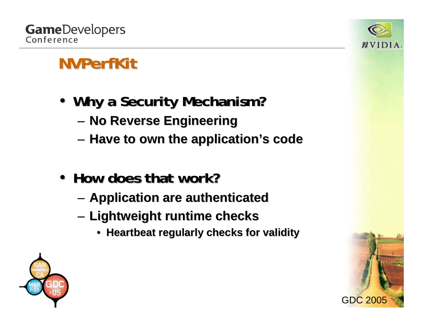

- Why a Security Mechanism?
	- **Links of the Company No Reverse Engineering No Reverse Engineering**
	- **Links of the Company**  $-$  Have to own the application's code
- How does that work?
	- –**Application are authenticated Application are authenticated**
	- – **Lightweight runtime checks Lightweight runtime checks**
		- **Heartbeat regularly Heartbeat regularly checks for validity checks for validity**



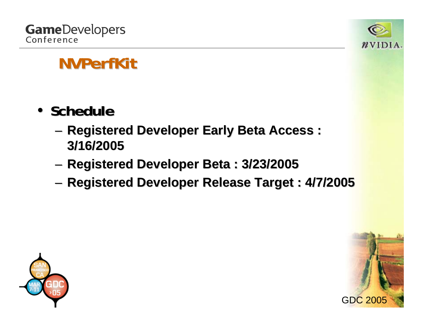

- **Schedule Schedule**
	- **Links of the Company Registered Developer Early Beta Access : Registered Developer Early Beta Access : 3/16/2005 3/16/2005**
	- –**Registered Developer Beta : 3/23/2005 Registered Developer Beta : 3/23/2005**
	- –**Registered Developer Release Target : 4/7/2005 Registered Developer Release Target : 4/7/2005**



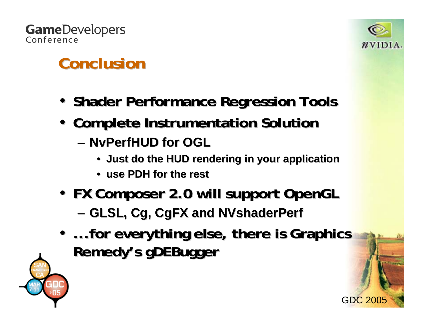

# **Conclusion Conclusion**

- **Shader Performance Regression Tools Performance Regression Tools**
- **Complete Instrumentation Solution Complete Instrumentation Solution**
	- **NvPerfHUD NvPerfHUD for OGL for OGL** 
		- **Just do the HU Just do the HUD rendering in your application D rendering in your application**
		- **use PDH for the rest use PDH for the rest**
- **FX Composer 2.0 will support OpenGL FX Composer 2.0 will support OpenGL**
	- – $-$  GLSL, Cg, CgFX and NVshaderPerf
- ...for everything else, there is Graphics **Remedy's gDEBugger**